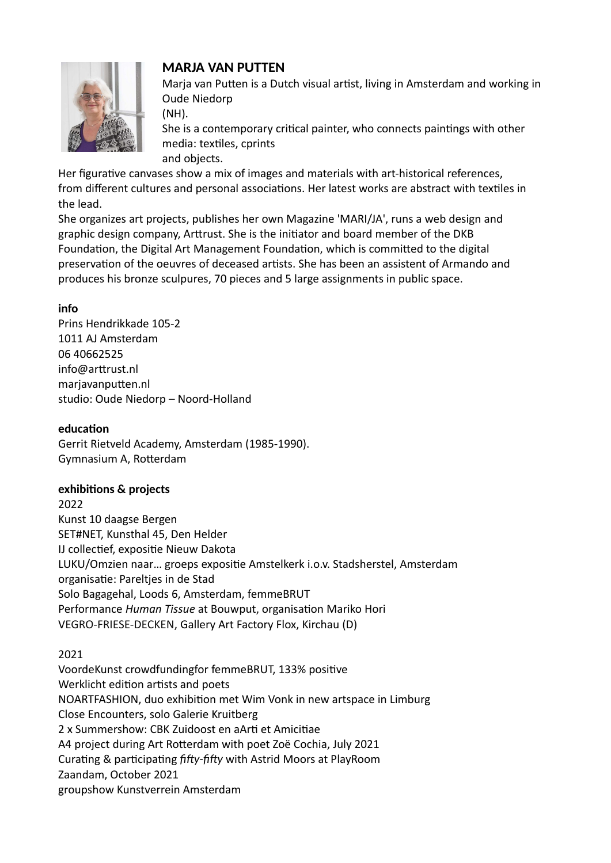

# **MARJA VAN PUTTEN**

Marja van Putten is a Dutch visual artist, living in Amsterdam and working in Oude Niedorp

(NH).

She is a contemporary critical painter, who connects paintings with other media: textiles, cprints

and objects.

Her figurative canvases show a mix of images and materials with art-historical references, from different cultures and personal associations. Her latest works are abstract with textiles in the lead.

She organizes art projects, publishes her own Magazine 'MARI/JA', runs a web design and graphic design company, Arttrust. She is the initiator and board member of the DKB Foundation, the Digital Art Management Foundation, which is committed to the digital preservation of the oeuvres of deceased artists. She has been an assistent of Armando and produces his bronze sculpures, 70 pieces and 5 large assignments in public space.

# **info**

Prins Hendrikkade 105-2 1011 AJ Amsterdam 06 40662525 info@arttrust.nl marjavanputten.nl studio: Oude Niedorp – Noord-Holland

# **education**

Gerrit Rietveld Academy, Amsterdam (1985-1990). Gymnasium A, Rotterdam

# **exhibitions & projects**

2022 Kunst 10 daagse Bergen SET#NET, Kunsthal 45, Den Helder IJ collectief, expositie Nieuw Dakota LUKU/Omzien naar… groeps expositie Amstelkerk i.o.v. Stadsherstel, Amsterdam organisatie: Pareltjes in de Stad Solo Bagagehal, Loods 6, Amsterdam, femmeBRUT Performance *Human Tissue* at Bouwput, organisation Mariko Hori VEGRO-FRIESE-DECKEN, Gallery Art Factory Flox, Kirchau (D)

# 2021

VoordeKunst crowdfundingfor femmeBRUT, 133% positive Werklicht edition artists and poets NOARTFASHION, duo exhibition met Wim Vonk in new artspace in Limburg Close Encounters, solo Galerie Kruitberg 2 x Summershow: CBK Zuidoost en aArti et Amicitiae A4 project during Art Rotterdam with poet Zoë Cochia, July 2021 Curating & participating *fifty-fifty* with Astrid Moors at PlayRoom Zaandam, October 2021 groupshow Kunstverrein Amsterdam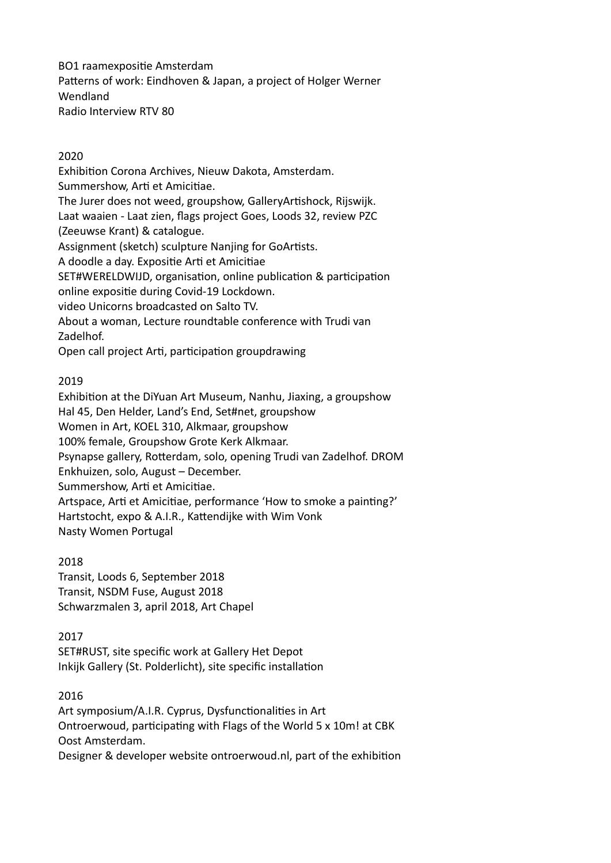BO1 raamexpositie Amsterdam Patterns of work: Eindhoven & Japan, a project of Holger Werner Wendland Radio Interview RTV 80

# 2020

Exhibition Corona Archives, Nieuw Dakota, Amsterdam. Summershow, Arti et Amicitiae. The Jurer does not weed, groupshow, GalleryArtishock, Rijswijk. Laat waaien - Laat zien, flags project Goes, Loods 32, review PZC (Zeeuwse Krant) & catalogue. Assignment (sketch) sculpture Nanjing for GoArtists. A doodle a day. Expositie Arti et Amicitiae SET#WERELDWIJD, organisation, online publication & participation online expositie during Covid-19 Lockdown. video Unicorns broadcasted on Salto TV. About a woman, Lecture roundtable conference with Trudi van Zadelhof. Open call project Arti, participation groupdrawing

#### 2019

Exhibition at the DiYuan Art Museum, Nanhu, Jiaxing, a groupshow Hal 45, Den Helder, Land's End, Set#net, groupshow Women in Art, KOEL 310, Alkmaar, groupshow 100% female, Groupshow Grote Kerk Alkmaar. Psynapse gallery, Rotterdam, solo, opening Trudi van Zadelhof. DROM Enkhuizen, solo, August – December. Summershow, Arti et Amicitiae. Artspace, Arti et Amicitiae, performance 'How to smoke a painting?' Hartstocht, expo & A.I.R., Kattendijke with Wim Vonk Nasty Women Portugal

#### 2018

Transit, Loods 6, September 2018 Transit, NSDM Fuse, August 2018 Schwarzmalen 3, april 2018, Art Chapel

#### 2017

SET#RUST, site specific work at Gallery Het Depot Inkijk Gallery (St. Polderlicht), site specific installation

#### 2016

Art symposium/A.I.R. Cyprus, Dysfunctionalities in Art Ontroerwoud, participating with Flags of the World 5 x 10m! at CBK Oost Amsterdam.

Designer & developer website ontroerwoud.nl, part of the exhibition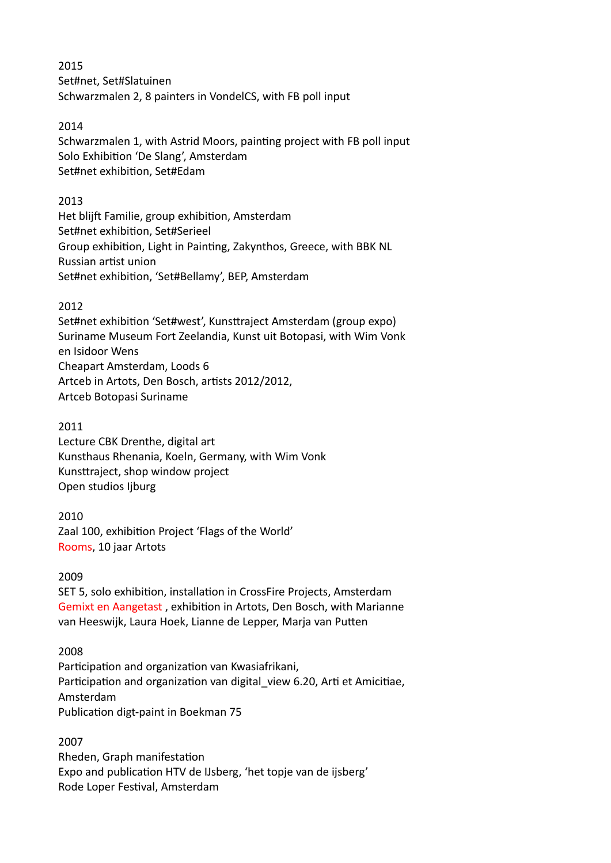2015 Set#net, Set#Slatuinen Schwarzmalen 2, 8 painters in VondelCS, with FB poll input

### 2014

Schwarzmalen 1, with Astrid Moors, painting project with FB poll input Solo Exhibition 'De Slang', Amsterdam Set#net exhibition, Set#Edam

#### 2013

Het blijft Familie, group exhibition, Amsterdam Set#net exhibition, Set#Serieel Group exhibition, Light in Painting, Zakynthos, Greece, with BBK NL Russian artist union Set#net exhibition, 'Set#Bellamy', BEP, Amsterdam

# 2012

Set#net exhibition 'Set#west', Kunsttraject Amsterdam (group expo) Suriname Museum Fort Zeelandia, Kunst uit Botopasi, with Wim Vonk en Isidoor Wens Cheapart Amsterdam, Loods 6 Artceb in Artots, Den Bosch, artists 2012/2012, Artceb Botopasi Suriname

# 2011

Lecture CBK Drenthe, digital art Kunsthaus Rhenania, Koeln, Germany, with Wim Vonk Kunsttraject, shop window project Open studios Ijburg

# 2010

Zaal 100, exhibition Project 'Flags of the World' Rooms, 10 jaar Artots

# 2009

SET 5, solo exhibition, installation in CrossFire Projects, Amsterdam Gemixt en Aangetast , exhibition in Artots, Den Bosch, with Marianne van Heeswijk, Laura Hoek, Lianne de Lepper, Marja van Putten

# 2008

Participation and organization van Kwasiafrikani, Participation and organization van digital view 6.20, Arti et Amicitiae, Amsterdam Publication digt-paint in Boekman 75

2007 Rheden, Graph manifestation Expo and publication HTV de IJsberg, 'het topje van de ijsberg' Rode Loper Festival, Amsterdam